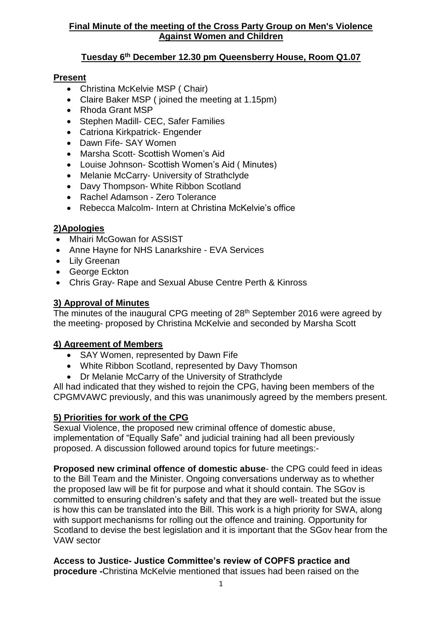## **Final Minute of the meeting of the Cross Party Group on Men's Violence Against Women and Children**

# **Tuesday 6th December 12.30 pm Queensberry House, Room Q1.07**

## **Present**

- Christina McKelvie MSP ( Chair)
- Claire Baker MSP (joined the meeting at 1.15pm)
- Rhoda Grant MSP
- Stephen Madill- CEC, Safer Families
- Catriona Kirkpatrick- Engender
- Dawn Fife- SAY Women
- Marsha Scott- Scottish Women's Aid
- Louise Johnson- Scottish Women's Aid ( Minutes)
- Melanie McCarry- University of Strathclyde
- Davy Thompson- White Ribbon Scotland
- Rachel Adamson Zero Tolerance
- Rebecca Malcolm- Intern at Christina McKelvie's office

## **2)Apologies**

- Mhairi McGowan for ASSIST
- Anne Hayne for NHS Lanarkshire EVA Services
- Lily Greenan
- George Eckton
- Chris Gray- Rape and Sexual Abuse Centre Perth & Kinross

## **3) Approval of Minutes**

The minutes of the inaugural CPG meeting of 28<sup>th</sup> September 2016 were agreed by the meeting- proposed by Christina McKelvie and seconded by Marsha Scott

#### **4) Agreement of Members**

- SAY Women, represented by Dawn Fife
- White Ribbon Scotland, represented by Davy Thomson
- Dr Melanie McCarry of the University of Strathclyde

All had indicated that they wished to rejoin the CPG, having been members of the CPGMVAWC previously, and this was unanimously agreed by the members present.

#### **5) Priorities for work of the CPG**

Sexual Violence, the proposed new criminal offence of domestic abuse, implementation of "Equally Safe" and judicial training had all been previously proposed. A discussion followed around topics for future meetings:-

**Proposed new criminal offence of domestic abuse**- the CPG could feed in ideas to the Bill Team and the Minister. Ongoing conversations underway as to whether the proposed law will be fit for purpose and what it should contain. The SGov is committed to ensuring children's safety and that they are well- treated but the issue is how this can be translated into the Bill. This work is a high priority for SWA, along with support mechanisms for rolling out the offence and training. Opportunity for Scotland to devise the best legislation and it is important that the SGov hear from the VAW sector

**Access to Justice- Justice Committee's review of COPFS practice and procedure -**Christina McKelvie mentioned that issues had been raised on the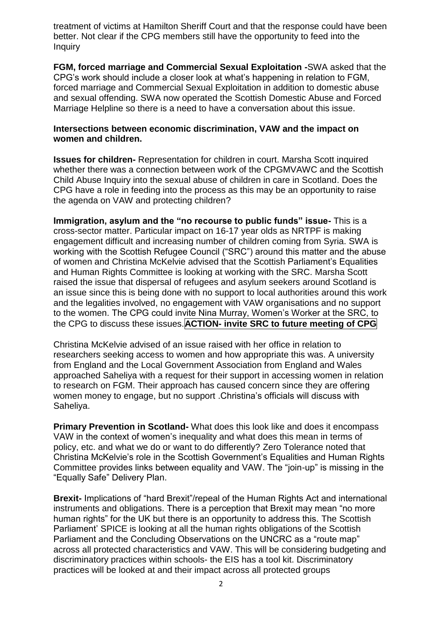treatment of victims at Hamilton Sheriff Court and that the response could have been better. Not clear if the CPG members still have the opportunity to feed into the **Inquiry** 

**FGM, forced marriage and Commercial Sexual Exploitation -**SWA asked that the CPG's work should include a closer look at what's happening in relation to FGM, forced marriage and Commercial Sexual Exploitation in addition to domestic abuse and sexual offending. SWA now operated the Scottish Domestic Abuse and Forced Marriage Helpline so there is a need to have a conversation about this issue.

#### **Intersections between economic discrimination, VAW and the impact on women and children.**

**Issues for children-** Representation for children in court. Marsha Scott inquired whether there was a connection between work of the CPGMVAWC and the Scottish Child Abuse Inquiry into the sexual abuse of children in care in Scotland. Does the CPG have a role in feeding into the process as this may be an opportunity to raise the agenda on VAW and protecting children?

**Immigration, asylum and the "no recourse to public funds" issue-** This is a cross-sector matter. Particular impact on 16-17 year olds as NRTPF is making engagement difficult and increasing number of children coming from Syria. SWA is working with the Scottish Refugee Council ("SRC") around this matter and the abuse of women and Christina McKelvie advised that the Scottish Parliament's Equalities and Human Rights Committee is looking at working with the SRC. Marsha Scott raised the issue that dispersal of refugees and asylum seekers around Scotland is an issue since this is being done with no support to local authorities around this work and the legalities involved, no engagement with VAW organisations and no support to the women. The CPG could invite Nina Murray, Women's Worker at the SRC, to the CPG to discuss these issues.**ACTION- invite SRC to future meeting of CPG**

Christina McKelvie advised of an issue raised with her office in relation to researchers seeking access to women and how appropriate this was. A university from England and the Local Government Association from England and Wales approached Saheliya with a request for their support in accessing women in relation to research on FGM. Their approach has caused concern since they are offering women money to engage, but no support .Christina's officials will discuss with Saheliya.

**Primary Prevention in Scotland-** What does this look like and does it encompass VAW in the context of women's inequality and what does this mean in terms of policy, etc. and what we do or want to do differently? Zero Tolerance noted that Christina McKelvie's role in the Scottish Government's Equalities and Human Rights Committee provides links between equality and VAW. The "join-up" is missing in the "Equally Safe" Delivery Plan.

**Brexit-** Implications of "hard Brexit"/repeal of the Human Rights Act and international instruments and obligations. There is a perception that Brexit may mean "no more human rights" for the UK but there is an opportunity to address this. The Scottish Parliament' SPICE is looking at all the human rights obligations of the Scottish Parliament and the Concluding Observations on the UNCRC as a "route map" across all protected characteristics and VAW. This will be considering budgeting and discriminatory practices within schools- the EIS has a tool kit. Discriminatory practices will be looked at and their impact across all protected groups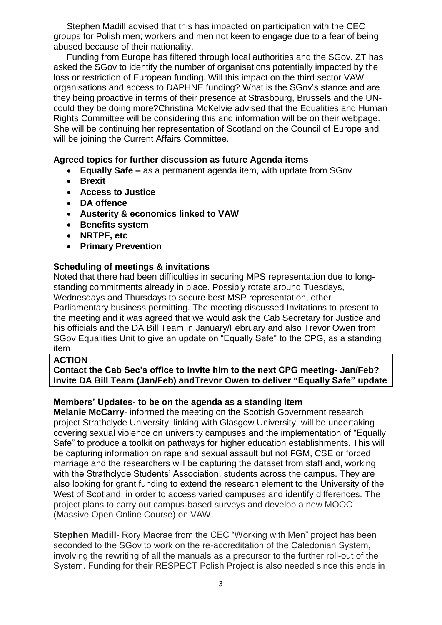Stephen Madill advised that this has impacted on participation with the CEC groups for Polish men; workers and men not keen to engage due to a fear of being abused because of their nationality.

Funding from Europe has filtered through local authorities and the SGov. ZT has asked the SGov to identify the number of organisations potentially impacted by the loss or restriction of European funding. Will this impact on the third sector VAW organisations and access to DAPHNE funding? What is the SGov's stance and are they being proactive in terms of their presence at Strasbourg, Brussels and the UNcould they be doing more?Christina McKelvie advised that the Equalities and Human Rights Committee will be considering this and information will be on their webpage. She will be continuing her representation of Scotland on the Council of Europe and will be joining the Current Affairs Committee.

## **Agreed topics for further discussion as future Agenda items**

- **Equally Safe –** as a permanent agenda item, with update from SGov
- **Brexit**
- **Access to Justice**
- **DA offence**
- **Austerity & economics linked to VAW**
- **Benefits system**
- **NRTPF, etc**
- **Primary Prevention**

## **Scheduling of meetings & invitations**

Noted that there had been difficulties in securing MPS representation due to longstanding commitments already in place. Possibly rotate around Tuesdays, Wednesdays and Thursdays to secure best MSP representation, other Parliamentary business permitting. The meeting discussed Invitations to present to the meeting and it was agreed that we would ask the Cab Secretary for Justice and his officials and the DA Bill Team in January/February and also Trevor Owen from SGov Equalities Unit to give an update on "Equally Safe" to the CPG, as a standing item

#### **ACTION**

**Contact the Cab Sec's office to invite him to the next CPG meeting- Jan/Feb? Invite DA Bill Team (Jan/Feb) andTrevor Owen to deliver "Equally Safe" update**

#### **Members' Updates- to be on the agenda as a standing item**

**Melanie McCarry**- informed the meeting on the Scottish Government research project Strathclyde University, linking with Glasgow University, will be undertaking covering sexual violence on university campuses and the implementation of "Equally Safe" to produce a toolkit on pathways for higher education establishments. This will be capturing information on rape and sexual assault but not FGM, CSE or forced marriage and the researchers will be capturing the dataset from staff and, working with the Strathclyde Students' Association, students across the campus. They are also looking for grant funding to extend the research element to the University of the West of Scotland, in order to access varied campuses and identify differences. The project plans to carry out campus-based surveys and develop a new MOOC (Massive Open Online Course) on VAW.

**Stephen Madill**- Rory Macrae from the CEC "Working with Men" project has been seconded to the SGov to work on the re-accreditation of the Caledonian System, involving the rewriting of all the manuals as a precursor to the further roll-out of the System. Funding for their RESPECT Polish Project is also needed since this ends in